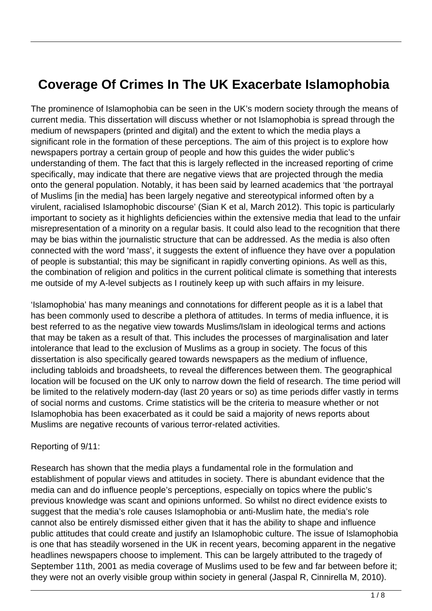# **Coverage Of Crimes In The UK Exacerbate Islamophobia**

The prominence of Islamophobia can be seen in the UK's modern society through the means of current media. This dissertation will discuss whether or not Islamophobia is spread through the medium of newspapers (printed and digital) and the extent to which the media plays a significant role in the formation of these perceptions. The aim of this project is to explore how newspapers portray a certain group of people and how this guides the wider public's understanding of them. The fact that this is largely reflected in the increased reporting of crime specifically, may indicate that there are negative views that are projected through the media onto the general population. Notably, it has been said by learned academics that 'the portrayal of Muslims [in the media] has been largely negative and stereotypical informed often by a virulent, racialised Islamophobic discourse' (Sian K et al, March 2012). This topic is particularly important to society as it highlights deficiencies within the extensive media that lead to the unfair misrepresentation of a minority on a regular basis. It could also lead to the recognition that there may be bias within the journalistic structure that can be addressed. As the media is also often connected with the word 'mass', it suggests the extent of influence they have over a population of people is substantial; this may be significant in rapidly converting opinions. As well as this, the combination of religion and politics in the current political climate is something that interests me outside of my A-level subjects as I routinely keep up with such affairs in my leisure.

'Islamophobia' has many meanings and connotations for different people as it is a label that has been commonly used to describe a plethora of attitudes. In terms of media influence, it is best referred to as the negative view towards Muslims/Islam in ideological terms and actions that may be taken as a result of that. This includes the processes of marginalisation and later intolerance that lead to the exclusion of Muslims as a group in society. The focus of this dissertation is also specifically geared towards newspapers as the medium of influence, including tabloids and broadsheets, to reveal the differences between them. The geographical location will be focused on the UK only to narrow down the field of research. The time period will be limited to the relatively modern-day (last 20 years or so) as time periods differ vastly in terms of social norms and customs. Crime statistics will be the criteria to measure whether or not Islamophobia has been exacerbated as it could be said a majority of news reports about Muslims are negative recounts of various terror-related activities.

#### Reporting of 9/11:

Research has shown that the media plays a fundamental role in the formulation and establishment of popular views and attitudes in society. There is abundant evidence that the media can and do influence people's perceptions, especially on topics where the public's previous knowledge was scant and opinions unformed. So whilst no direct evidence exists to suggest that the media's role causes Islamophobia or anti-Muslim hate, the media's role cannot also be entirely dismissed either given that it has the ability to shape and influence public attitudes that could create and justify an Islamophobic culture. The issue of Islamophobia is one that has steadily worsened in the UK in recent years, becoming apparent in the negative headlines newspapers choose to implement. This can be largely attributed to the tragedy of September 11th, 2001 as media coverage of Muslims used to be few and far between before it; they were not an overly visible group within society in general (Jaspal R, Cinnirella M, 2010).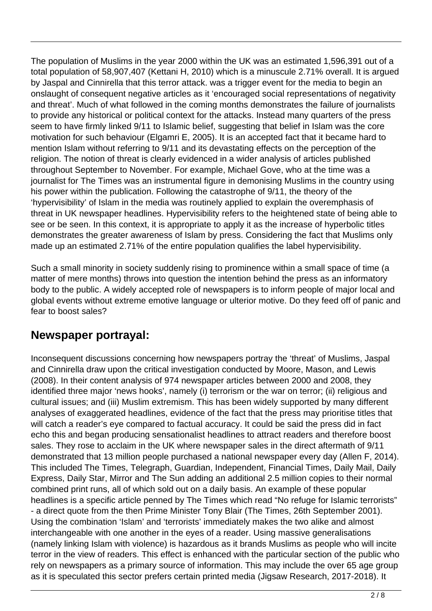The population of Muslims in the year 2000 within the UK was an estimated 1,596,391 out of a total population of 58,907,407 (Kettani H, 2010) which is a minuscule 2.71% overall. It is argued by Jaspal and Cinnirella that this terror attack. was a trigger event for the media to begin an onslaught of consequent negative articles as it 'encouraged social representations of negativity and threat'. Much of what followed in the coming months demonstrates the failure of journalists to provide any historical or political context for the attacks. Instead many quarters of the press seem to have firmly linked 9/11 to Islamic belief, suggesting that belief in Islam was the core motivation for such behaviour (Elgamri E, 2005). It is an accepted fact that it became hard to mention Islam without referring to 9/11 and its devastating effects on the perception of the religion. The notion of threat is clearly evidenced in a wider analysis of articles published throughout September to November. For example, Michael Gove, who at the time was a journalist for The Times was an instrumental figure in demonising Muslims in the country using his power within the publication. Following the catastrophe of 9/11, the theory of the 'hypervisibility' of Islam in the media was routinely applied to explain the overemphasis of threat in UK newspaper headlines. Hypervisibility refers to the heightened state of being able to see or be seen. In this context, it is appropriate to apply it as the increase of hyperbolic titles demonstrates the greater awareness of Islam by press. Considering the fact that Muslims only made up an estimated 2.71% of the entire population qualifies the label hypervisibility.

Such a small minority in society suddenly rising to prominence within a small space of time (a matter of mere months) throws into question the intention behind the press as an informatory body to the public. A widely accepted role of newspapers is to inform people of major local and global events without extreme emotive language or ulterior motive. Do they feed off of panic and fear to boost sales?

#### **Newspaper portrayal:**

Inconsequent discussions concerning how newspapers portray the 'threat' of Muslims, Jaspal and Cinnirella draw upon the critical investigation conducted by Moore, Mason, and Lewis (2008). In their content analysis of 974 newspaper articles between 2000 and 2008, they identified three major 'news hooks', namely (i) terrorism or the war on terror; (ii) religious and cultural issues; and (iii) Muslim extremism. This has been widely supported by many different analyses of exaggerated headlines, evidence of the fact that the press may prioritise titles that will catch a reader's eye compared to factual accuracy. It could be said the press did in fact echo this and began producing sensationalist headlines to attract readers and therefore boost sales. They rose to acclaim in the UK where newspaper sales in the direct aftermath of 9/11 demonstrated that 13 million people purchased a national newspaper every day (Allen F, 2014). This included The Times, Telegraph, Guardian, Independent, Financial Times, Daily Mail, Daily Express, Daily Star, Mirror and The Sun adding an additional 2.5 million copies to their normal combined print runs, all of which sold out on a daily basis. An example of these popular headlines is a specific article penned by The Times which read "No refuge for Islamic terrorists" - a direct quote from the then Prime Minister Tony Blair (The Times, 26th September 2001). Using the combination 'Islam' and 'terrorists' immediately makes the two alike and almost interchangeable with one another in the eyes of a reader. Using massive generalisations (namely linking Islam with violence) is hazardous as it brands Muslims as people who will incite terror in the view of readers. This effect is enhanced with the particular section of the public who rely on newspapers as a primary source of information. This may include the over 65 age group as it is speculated this sector prefers certain printed media (Jigsaw Research, 2017-2018). It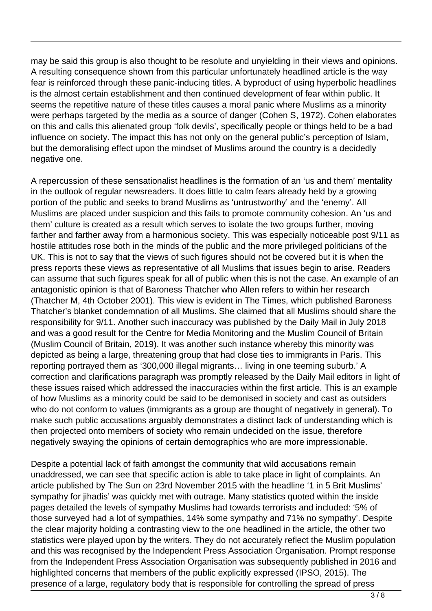may be said this group is also thought to be resolute and unyielding in their views and opinions. A resulting consequence shown from this particular unfortunately headlined article is the way fear is reinforced through these panic-inducing titles. A byproduct of using hyperbolic headlines is the almost certain establishment and then continued development of fear within public. It seems the repetitive nature of these titles causes a moral panic where Muslims as a minority were perhaps targeted by the media as a source of danger (Cohen S, 1972). Cohen elaborates on this and calls this alienated group 'folk devils', specifically people or things held to be a bad influence on society. The impact this has not only on the general public's perception of Islam, but the demoralising effect upon the mindset of Muslims around the country is a decidedly negative one.

A repercussion of these sensationalist headlines is the formation of an 'us and them' mentality in the outlook of regular newsreaders. It does little to calm fears already held by a growing portion of the public and seeks to brand Muslims as 'untrustworthy' and the 'enemy'. All Muslims are placed under suspicion and this fails to promote community cohesion. An 'us and them' culture is created as a result which serves to isolate the two groups further, moving farther and farther away from a harmonious society. This was especially noticeable post 9/11 as hostile attitudes rose both in the minds of the public and the more privileged politicians of the UK. This is not to say that the views of such figures should not be covered but it is when the press reports these views as representative of all Muslims that issues begin to arise. Readers can assume that such figures speak for all of public when this is not the case. An example of an antagonistic opinion is that of Baroness Thatcher who Allen refers to within her research (Thatcher M, 4th October 2001). This view is evident in The Times, which published Baroness Thatcher's blanket condemnation of all Muslims. She claimed that all Muslims should share the responsibility for 9/11. Another such inaccuracy was published by the Daily Mail in July 2018 and was a good result for the Centre for Media Monitoring and the Muslim Council of Britain (Muslim Council of Britain, 2019). It was another such instance whereby this minority was depicted as being a large, threatening group that had close ties to immigrants in Paris. This reporting portrayed them as '300,000 illegal migrants… living in one teeming suburb.' A correction and clarifications paragraph was promptly released by the Daily Mail editors in light of these issues raised which addressed the inaccuracies within the first article. This is an example of how Muslims as a minority could be said to be demonised in society and cast as outsiders who do not conform to values (immigrants as a group are thought of negatively in general). To make such public accusations arguably demonstrates a distinct lack of understanding which is then projected onto members of society who remain undecided on the issue, therefore negatively swaying the opinions of certain demographics who are more impressionable.

Despite a potential lack of faith amongst the community that wild accusations remain unaddressed, we can see that specific action is able to take place in light of complaints. An article published by The Sun on 23rd November 2015 with the headline '1 in 5 Brit Muslims' sympathy for jihadis' was quickly met with outrage. Many statistics quoted within the inside pages detailed the levels of sympathy Muslims had towards terrorists and included: '5% of those surveyed had a lot of sympathies, 14% some sympathy and 71% no sympathy'. Despite the clear majority holding a contrasting view to the one headlined in the article, the other two statistics were played upon by the writers. They do not accurately reflect the Muslim population and this was recognised by the Independent Press Association Organisation. Prompt response from the Independent Press Association Organisation was subsequently published in 2016 and highlighted concerns that members of the public explicitly expressed (IPSO, 2015). The presence of a large, regulatory body that is responsible for controlling the spread of press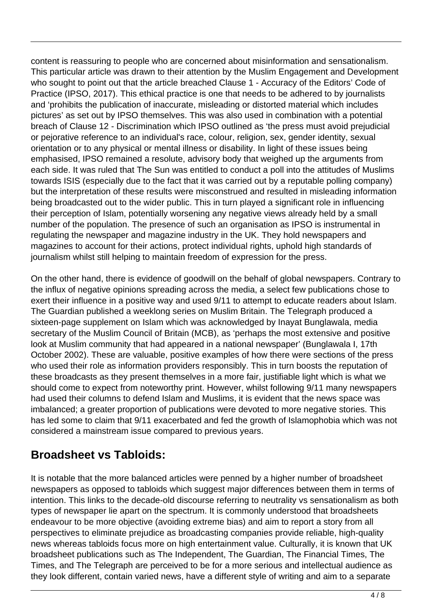content is reassuring to people who are concerned about misinformation and sensationalism. This particular article was drawn to their attention by the Muslim Engagement and Development who sought to point out that the article breached Clause 1 - Accuracy of the Editors' Code of Practice (IPSO, 2017). This ethical practice is one that needs to be adhered to by journalists and 'prohibits the publication of inaccurate, misleading or distorted material which includes pictures' as set out by IPSO themselves. This was also used in combination with a potential breach of Clause 12 - Discrimination which IPSO outlined as 'the press must avoid prejudicial or pejorative reference to an individual's race, colour, religion, sex, gender identity, sexual orientation or to any physical or mental illness or disability. In light of these issues being emphasised, IPSO remained a resolute, advisory body that weighed up the arguments from each side. It was ruled that The Sun was entitled to conduct a poll into the attitudes of Muslims towards ISIS (especially due to the fact that it was carried out by a reputable polling company) but the interpretation of these results were misconstrued and resulted in misleading information being broadcasted out to the wider public. This in turn played a significant role in influencing their perception of Islam, potentially worsening any negative views already held by a small number of the population. The presence of such an organisation as IPSO is instrumental in regulating the newspaper and magazine industry in the UK. They hold newspapers and magazines to account for their actions, protect individual rights, uphold high standards of journalism whilst still helping to maintain freedom of expression for the press.

On the other hand, there is evidence of goodwill on the behalf of global newspapers. Contrary to the influx of negative opinions spreading across the media, a select few publications chose to exert their influence in a positive way and used 9/11 to attempt to educate readers about Islam. The Guardian published a weeklong series on Muslim Britain. The Telegraph produced a sixteen-page supplement on Islam which was acknowledged by Inayat Bunglawala, media secretary of the Muslim Council of Britain (MCB), as 'perhaps the most extensive and positive look at Muslim community that had appeared in a national newspaper' (Bunglawala I, 17th October 2002). These are valuable, positive examples of how there were sections of the press who used their role as information providers responsibly. This in turn boosts the reputation of these broadcasts as they present themselves in a more fair, justifiable light which is what we should come to expect from noteworthy print. However, whilst following 9/11 many newspapers had used their columns to defend Islam and Muslims, it is evident that the news space was imbalanced; a greater proportion of publications were devoted to more negative stories. This has led some to claim that 9/11 exacerbated and fed the growth of Islamophobia which was not considered a mainstream issue compared to previous years.

### **Broadsheet vs Tabloids:**

It is notable that the more balanced articles were penned by a higher number of broadsheet newspapers as opposed to tabloids which suggest major differences between them in terms of intention. This links to the decade-old discourse referring to neutrality vs sensationalism as both types of newspaper lie apart on the spectrum. It is commonly understood that broadsheets endeavour to be more objective (avoiding extreme bias) and aim to report a story from all perspectives to eliminate prejudice as broadcasting companies provide reliable, high-quality news whereas tabloids focus more on high entertainment value. Culturally, it is known that UK broadsheet publications such as The Independent, The Guardian, The Financial Times, The Times, and The Telegraph are perceived to be for a more serious and intellectual audience as they look different, contain varied news, have a different style of writing and aim to a separate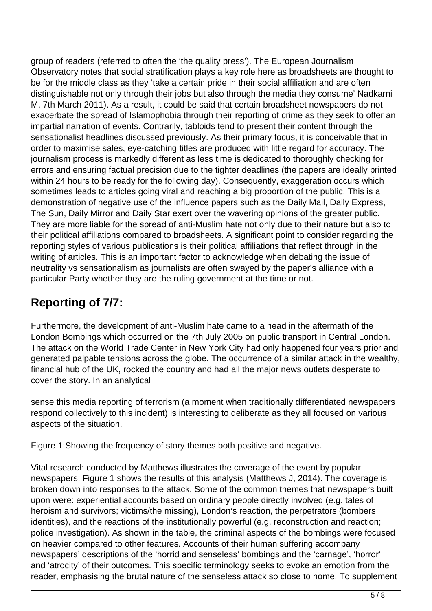group of readers (referred to often the 'the quality press'). The European Journalism Observatory notes that social stratification plays a key role here as broadsheets are thought to be for the middle class as they 'take a certain pride in their social affiliation and are often distinguishable not only through their jobs but also through the media they consume' Nadkarni M, 7th March 2011). As a result, it could be said that certain broadsheet newspapers do not exacerbate the spread of Islamophobia through their reporting of crime as they seek to offer an impartial narration of events. Contrarily, tabloids tend to present their content through the sensationalist headlines discussed previously. As their primary focus, it is conceivable that in order to maximise sales, eye-catching titles are produced with little regard for accuracy. The journalism process is markedly different as less time is dedicated to thoroughly checking for errors and ensuring factual precision due to the tighter deadlines (the papers are ideally printed within 24 hours to be ready for the following day). Consequently, exaggeration occurs which sometimes leads to articles going viral and reaching a big proportion of the public. This is a demonstration of negative use of the influence papers such as the Daily Mail, Daily Express, The Sun, Daily Mirror and Daily Star exert over the wavering opinions of the greater public. They are more liable for the spread of anti-Muslim hate not only due to their nature but also to their political affiliations compared to broadsheets. A significant point to consider regarding the reporting styles of various publications is their political affiliations that reflect through in the writing of articles. This is an important factor to acknowledge when debating the issue of neutrality vs sensationalism as journalists are often swayed by the paper's alliance with a particular Party whether they are the ruling government at the time or not.

## **Reporting of 7/7:**

Furthermore, the development of anti-Muslim hate came to a head in the aftermath of the London Bombings which occurred on the 7th July 2005 on public transport in Central London. The attack on the World Trade Center in New York City had only happened four years prior and generated palpable tensions across the globe. The occurrence of a similar attack in the wealthy, financial hub of the UK, rocked the country and had all the major news outlets desperate to cover the story. In an analytical

sense this media reporting of terrorism (a moment when traditionally differentiated newspapers respond collectively to this incident) is interesting to deliberate as they all focused on various aspects of the situation.

Figure 1:Showing the frequency of story themes both positive and negative.

Vital research conducted by Matthews illustrates the coverage of the event by popular newspapers; Figure 1 shows the results of this analysis (Matthews J, 2014). The coverage is broken down into responses to the attack. Some of the common themes that newspapers built upon were: experiential accounts based on ordinary people directly involved (e.g. tales of heroism and survivors; victims/the missing), London's reaction, the perpetrators (bombers identities), and the reactions of the institutionally powerful (e.g. reconstruction and reaction; police investigation). As shown in the table, the criminal aspects of the bombings were focused on heavier compared to other features. Accounts of their human suffering accompany newspapers' descriptions of the 'horrid and senseless' bombings and the 'carnage', 'horror' and 'atrocity' of their outcomes. This specific terminology seeks to evoke an emotion from the reader, emphasising the brutal nature of the senseless attack so close to home. To supplement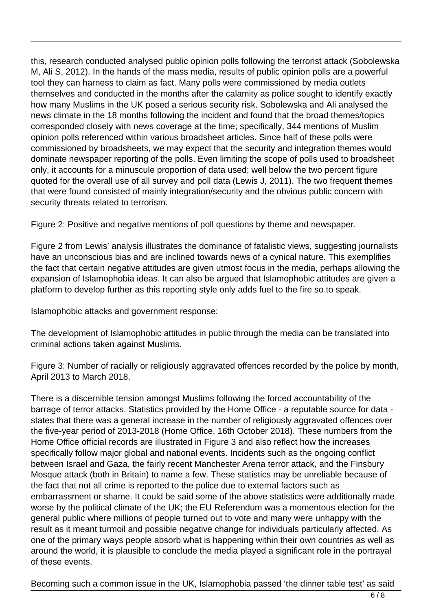this, research conducted analysed public opinion polls following the terrorist attack (Sobolewska M, Ali S, 2012). In the hands of the mass media, results of public opinion polls are a powerful tool they can harness to claim as fact. Many polls were commissioned by media outlets themselves and conducted in the months after the calamity as police sought to identify exactly how many Muslims in the UK posed a serious security risk. Sobolewska and Ali analysed the news climate in the 18 months following the incident and found that the broad themes/topics corresponded closely with news coverage at the time; specifically, 344 mentions of Muslim opinion polls referenced within various broadsheet articles. Since half of these polls were commissioned by broadsheets, we may expect that the security and integration themes would dominate newspaper reporting of the polls. Even limiting the scope of polls used to broadsheet only, it accounts for a minuscule proportion of data used; well below the two percent figure quoted for the overall use of all survey and poll data (Lewis J, 2011). The two frequent themes that were found consisted of mainly integration/security and the obvious public concern with security threats related to terrorism.

Figure 2: Positive and negative mentions of poll questions by theme and newspaper.

Figure 2 from Lewis' analysis illustrates the dominance of fatalistic views, suggesting journalists have an unconscious bias and are inclined towards news of a cynical nature. This exemplifies the fact that certain negative attitudes are given utmost focus in the media, perhaps allowing the expansion of Islamophobia ideas. It can also be argued that Islamophobic attitudes are given a platform to develop further as this reporting style only adds fuel to the fire so to speak.

Islamophobic attacks and government response:

The development of Islamophobic attitudes in public through the media can be translated into criminal actions taken against Muslims.

Figure 3: Number of racially or religiously aggravated offences recorded by the police by month, April 2013 to March 2018.

There is a discernible tension amongst Muslims following the forced accountability of the barrage of terror attacks. Statistics provided by the Home Office - a reputable source for data states that there was a general increase in the number of religiously aggravated offences over the five-year period of 2013-2018 (Home Office, 16th October 2018). These numbers from the Home Office official records are illustrated in Figure 3 and also reflect how the increases specifically follow major global and national events. Incidents such as the ongoing conflict between Israel and Gaza, the fairly recent Manchester Arena terror attack, and the Finsbury Mosque attack (both in Britain) to name a few. These statistics may be unreliable because of the fact that not all crime is reported to the police due to external factors such as embarrassment or shame. It could be said some of the above statistics were additionally made worse by the political climate of the UK; the EU Referendum was a momentous election for the general public where millions of people turned out to vote and many were unhappy with the result as it meant turmoil and possible negative change for individuals particularly affected. As one of the primary ways people absorb what is happening within their own countries as well as around the world, it is plausible to conclude the media played a significant role in the portrayal of these events.

Becoming such a common issue in the UK, Islamophobia passed 'the dinner table test' as said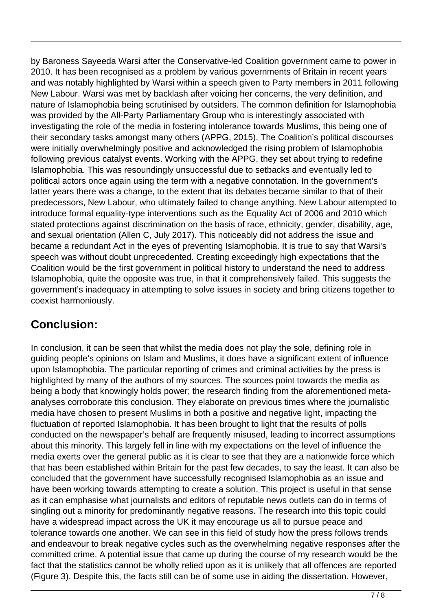by Baroness Sayeeda Warsi after the Conservative-led Coalition government came to power in 2010. It has been recognised as a problem by various governments of Britain in recent years and was notably highlighted by Warsi within a speech given to Party members in 2011 following New Labour. Warsi was met by backlash after voicing her concerns, the very definition, and nature of Islamophobia being scrutinised by outsiders. The common definition for Islamophobia was provided by the All-Party Parliamentary Group who is interestingly associated with investigating the role of the media in fostering intolerance towards Muslims, this being one of their secondary tasks amongst many others (APPG, 2015). The Coalition's political discourses were initially overwhelmingly positive and acknowledged the rising problem of Islamophobia following previous catalyst events. Working with the APPG, they set about trying to redefine Islamophobia. This was resoundingly unsuccessful due to setbacks and eventually led to political actors once again using the term with a negative connotation. In the government's latter years there was a change, to the extent that its debates became similar to that of their predecessors, New Labour, who ultimately failed to change anything. New Labour attempted to introduce formal equality-type interventions such as the Equality Act of 2006 and 2010 which stated protections against discrimination on the basis of race, ethnicity, gender, disability, age, and sexual orientation (Allen C, July 2017). This noticeably did not address the issue and became a redundant Act in the eyes of preventing Islamophobia. It is true to say that Warsi's speech was without doubt unprecedented. Creating exceedingly high expectations that the Coalition would be the first government in political history to understand the need to address Islamophobia, quite the opposite was true, in that it comprehensively failed. This suggests the government's inadequacy in attempting to solve issues in society and bring citizens together to coexist harmoniously.

### **Conclusion:**

In conclusion, it can be seen that whilst the media does not play the sole, defining role in guiding people's opinions on Islam and Muslims, it does have a significant extent of influence upon Islamophobia. The particular reporting of crimes and criminal activities by the press is highlighted by many of the authors of my sources. The sources point towards the media as being a body that knowingly holds power; the research finding from the aforementioned metaanalyses corroborate this conclusion. They elaborate on previous times where the journalistic media have chosen to present Muslims in both a positive and negative light, impacting the fluctuation of reported Islamophobia. It has been brought to light that the results of polls conducted on the newspaper's behalf are frequently misused, leading to incorrect assumptions about this minority. This largely fell in line with my expectations on the level of influence the media exerts over the general public as it is clear to see that they are a nationwide force which that has been established within Britain for the past few decades, to say the least. It can also be concluded that the government have successfully recognised Islamophobia as an issue and have been working towards attempting to create a solution. This project is useful in that sense as it can emphasise what journalists and editors of reputable news outlets can do in terms of singling out a minority for predominantly negative reasons. The research into this topic could have a widespread impact across the UK it may encourage us all to pursue peace and tolerance towards one another. We can see in this field of study how the press follows trends and endeavour to break negative cycles such as the overwhelming negative responses after the committed crime. A potential issue that came up during the course of my research would be the fact that the statistics cannot be wholly relied upon as it is unlikely that all offences are reported (Figure 3). Despite this, the facts still can be of some use in aiding the dissertation. However,